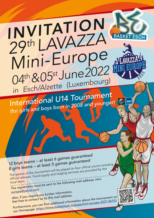## *INVITATION <sup>29</sup>th LAVAZZA Mini-Europe* **BASKET ESCH** *<sup>04</sup>th & 05st June 2022 in Esch/Alzette (Luxembourg)*

**FIBA** 

*International U14 Tournamen<sup>t</sup> (for girls and boys born in 2008 and younger)* 

*12 boys teams – at least 6 games guaranteed 8 girls teams – at least 5 games guaranteed* The games of the tournament will be played on four official courts including

official referees. Food supply and lodging services are provided by the<br>local team. local team. *The registration must* be sent to the following mail address: mini.<br>
The registration must be sent to the following mail address: mini.

## *europe@yahoo.co<sup>m</sup>*

*Also, if you require any further information, feel free to contact us by this mail address.* Furthermore, you can find additional information about the tournament on *our Homepage: https://www.basketesch.lu/page/mini-europe-2021-86153*